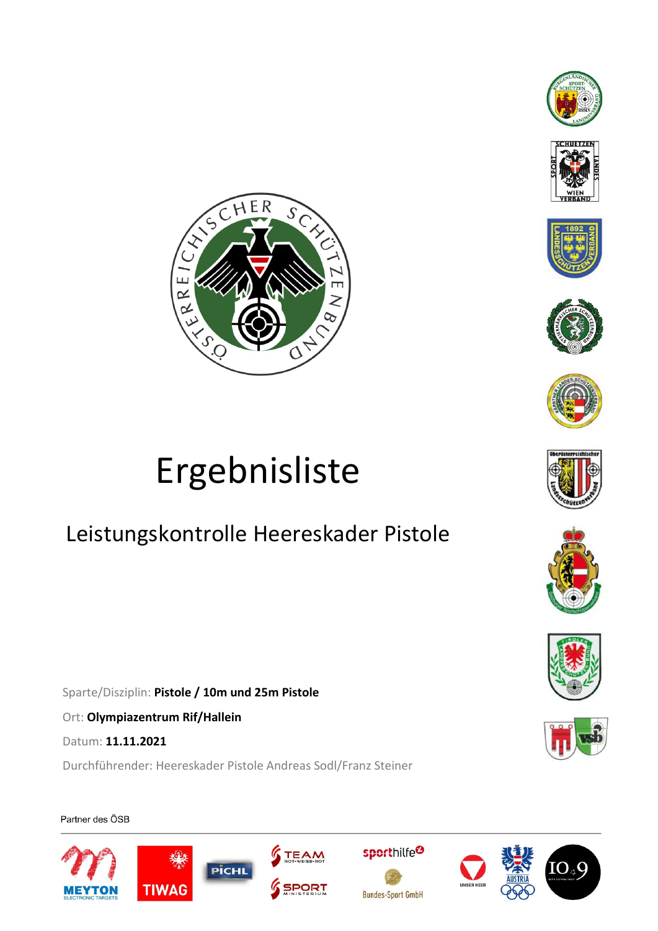





















# Ergebnisliste

## Leistungskontrolle Heereskader Pistole

Sparte/Disziplin: **Pistole / 10m und 25m Pistole**

Ort: **Olympiazentrum Rif/Hallein**

Datum: **11.11.2021**

Durchführender: Heereskader Pistole Andreas Sodl/Franz Steiner

Partner des ÖSB











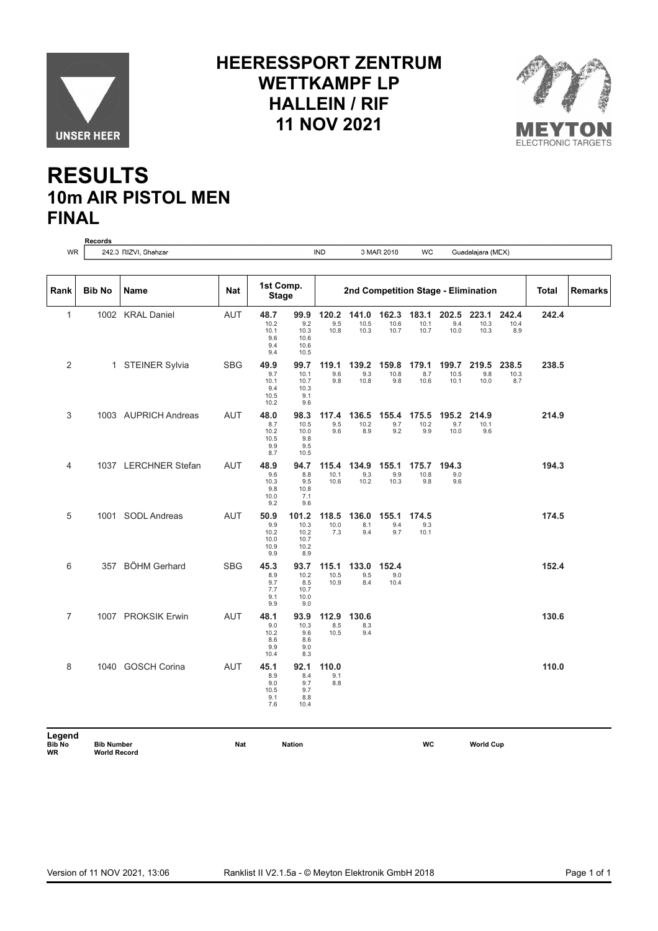

#### **HEERESSPORT ZENTRUM WETTKAMPF LP HALLEIN / RIF 11 NOV 2021**



### **RESULTS 10m AIR PISTOL MEN FINAL**

|                | <b>Records</b> |                      |            |                                            |                                              |                       |                       |                       |                                     |                       |                       |                      |              |         |
|----------------|----------------|----------------------|------------|--------------------------------------------|----------------------------------------------|-----------------------|-----------------------|-----------------------|-------------------------------------|-----------------------|-----------------------|----------------------|--------------|---------|
| <b>WR</b>      |                | 242.3 RIZVI, Shahzar |            |                                            |                                              | <b>IND</b>            |                       | 3 MAR 2018            | WC                                  |                       | Guadalajara (MEX)     |                      |              |         |
|                |                |                      |            |                                            |                                              |                       |                       |                       |                                     |                       |                       |                      |              |         |
| Rank           | <b>Bib No</b>  | Name                 | <b>Nat</b> | 1st Comp.<br><b>Stage</b>                  |                                              |                       |                       |                       | 2nd Competition Stage - Elimination |                       |                       |                      | <b>Total</b> | Remarks |
| $\mathbf{1}$   |                | 1002 KRAL Daniel     | <b>AUT</b> | 48.7<br>10.2<br>10.1<br>9.6<br>9.4<br>9.4  | 99.9<br>9.2<br>10.3<br>10.6<br>10.6<br>10.5  | 120.2<br>9.5<br>10.8  | 141.0<br>10.5<br>10.3 | 162.3<br>10.6<br>10.7 | 183.1<br>10.1<br>10.7               | 202.5<br>9.4<br>10.0  | 223.1<br>10.3<br>10.3 | 242.4<br>10.4<br>8.9 | 242.4        |         |
| $\overline{2}$ |                | 1 STEINER Sylvia     | <b>SBG</b> | 49.9<br>9.7<br>10.1<br>9.4<br>10.5<br>10.2 | 99.7<br>10.1<br>10.7<br>10.3<br>9.1<br>9.6   | 119.1<br>9.6<br>9.8   | 139.2<br>9.3<br>10.8  | 159.8<br>10.8<br>9.8  | 179.1<br>8.7<br>10.6                | 199.7<br>10.5<br>10.1 | 219.5<br>9.8<br>10.0  | 238.5<br>10.3<br>8.7 | 238.5        |         |
| 3              |                | 1003 AUPRICH Andreas | <b>AUT</b> | 48.0<br>8.7<br>10.2<br>10.5<br>9.9<br>8.7  | 98.3<br>10.5<br>10.0<br>9.8<br>9.5<br>10.5   | 117.4<br>9.5<br>9.6   | 136.5<br>10.2<br>8.9  | 155.4<br>9.7<br>9.2   | 175.5<br>10.2<br>9.9                | 195.2<br>9.7<br>10.0  | 214.9<br>10.1<br>9.6  |                      | 214.9        |         |
| $\overline{4}$ |                | 1037 LERCHNER Stefan | <b>AUT</b> | 48.9<br>9.6<br>10.3<br>9.8<br>10.0<br>9.2  | 94.7<br>8.8<br>9.5<br>10.8<br>7.1<br>9.6     | 115.4<br>10.1<br>10.6 | 134.9<br>9.3<br>10.2  | 155.1<br>9.9<br>10.3  | 175.7<br>10.8<br>9.8                | 194.3<br>9.0<br>9.6   |                       |                      | 194.3        |         |
| 5              |                | 1001 SODL Andreas    | <b>AUT</b> | 50.9<br>9.9<br>10.2<br>10.0<br>10.9<br>9.9 | 101.2<br>10.3<br>10.2<br>10.7<br>10.2<br>8.9 | 118.5<br>10.0<br>7.3  | 136.0<br>8.1<br>9.4   | 155.1<br>9.4<br>9.7   | 174.5<br>9.3<br>10.1                |                       |                       |                      | 174.5        |         |
| 6              |                | 357 BÖHM Gerhard     | <b>SBG</b> | 45.3<br>8.9<br>9.7<br>7.7<br>9.1<br>9.9    | 93.7<br>10.2<br>8.5<br>10.7<br>10.0<br>9.0   | 115.1<br>10.5<br>10.9 | 133.0<br>9.5<br>8.4   | 152.4<br>9.0<br>10.4  |                                     |                       |                       |                      | 152.4        |         |
| $\overline{7}$ |                | 1007 PROKSIK Erwin   | <b>AUT</b> | 48.1<br>9.0<br>10.2<br>8.6<br>9.9<br>10.4  | 93.9<br>10.3<br>9.6<br>8.6<br>9.0<br>8.3     | 112.9<br>8.5<br>10.5  | 130.6<br>8.3<br>9.4   |                       |                                     |                       |                       |                      | 130.6        |         |
| 8              |                | 1040 GOSCH Corina    | <b>AUT</b> | 45.1<br>8.9<br>9.0<br>10.5<br>9.1<br>7.6   | 92.1<br>8.4<br>9.7<br>9.7<br>8.8<br>10.4     | 110.0<br>9.1<br>8.8   |                       |                       |                                     |                       |                       |                      | 110.0        |         |
| <b>Lonond</b>  |                |                      |            |                                            |                                              |                       |                       |                       |                                     |                       |                       |                      |              |         |

**Legend<br>Bib No<br>WR Bib No Bib Number Nat Nation WC World Cup World Record**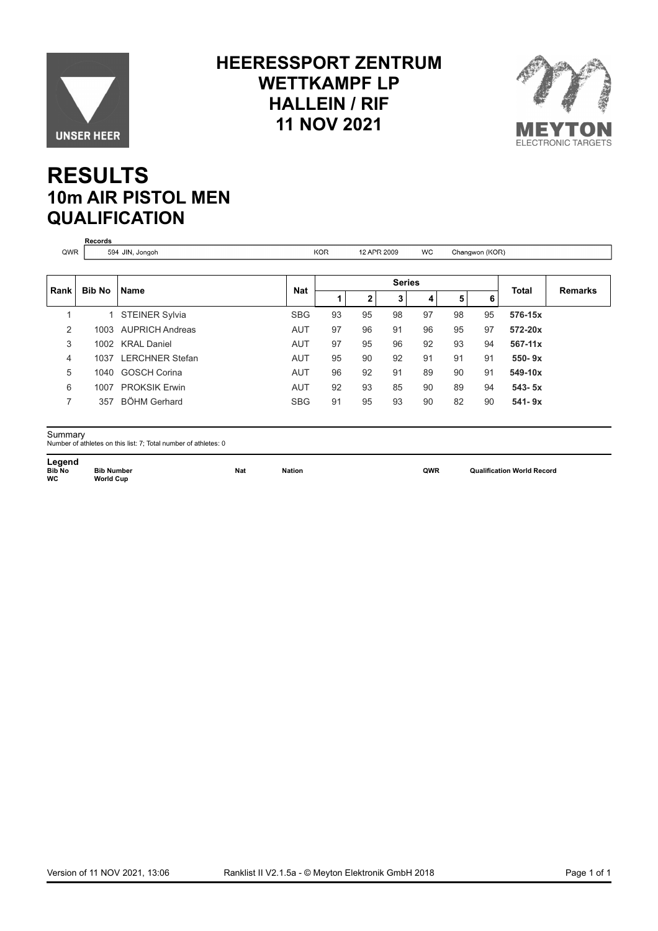

#### **HEERESSPORT ZENTRUM WETTKAMPF LP HALLEIN / RIF 11 NOV 2021**



#### **RESULTS 10m AIR PISTOL MEN QUALIFICATION**

| QWR                     |               | 594 JIN, Jongoh        |            | <b>KOR</b> | 12 APR 2009  |    | WC. |    | Changwon (KOR) |              |                |
|-------------------------|---------------|------------------------|------------|------------|--------------|----|-----|----|----------------|--------------|----------------|
|                         |               |                        |            |            |              |    |     |    |                |              |                |
| Rank                    | <b>Bib No</b> | <b>Name</b>            | <b>Nat</b> |            | $\mathbf{2}$ | 3  | 4   | 5  | 6              | <b>Total</b> | <b>Remarks</b> |
| $\overline{\mathbf{A}}$ | 1             | STEINER Sylvia         | <b>SBG</b> | 93         | 95           | 98 | 97  | 98 | 95             | 576-15x      |                |
| 2                       | 1003          | <b>AUPRICH Andreas</b> | <b>AUT</b> | 97         | 96           | 91 | 96  | 95 | 97             | 572-20x      |                |
| 3                       | 1002          | <b>KRAL Daniel</b>     | <b>AUT</b> | 97         | 95           | 96 | 92  | 93 | 94             | 567-11x      |                |
| 4                       | 1037          | <b>LERCHNER Stefan</b> | <b>AUT</b> | 95         | 90           | 92 | 91  | 91 | 91             | $550 - 9x$   |                |
| 5                       |               | 1040 GOSCH Corina      | <b>AUT</b> | 96         | 92           | 91 | 89  | 90 | 91             | 549-10x      |                |
| 6                       | 1007          | <b>PROKSIK Erwin</b>   | <b>AUT</b> | 92         | 93           | 85 | 90  | 89 | 94             | $543 - 5x$   |                |
| $\overline{7}$          | 357           | <b>BÖHM Gerhard</b>    | <b>SBG</b> | 91         | 95           | 93 | 90  | 82 | 90             | $541 - 9x$   |                |

**Legend<br>Bib No<br>WC** 

Summary Number of athletes on this list: 7; Total number of athletes: 0

**Bib Number**<br>World Cup

**Bib Nation Bib Nation Bib Number OWR** Qualification World Record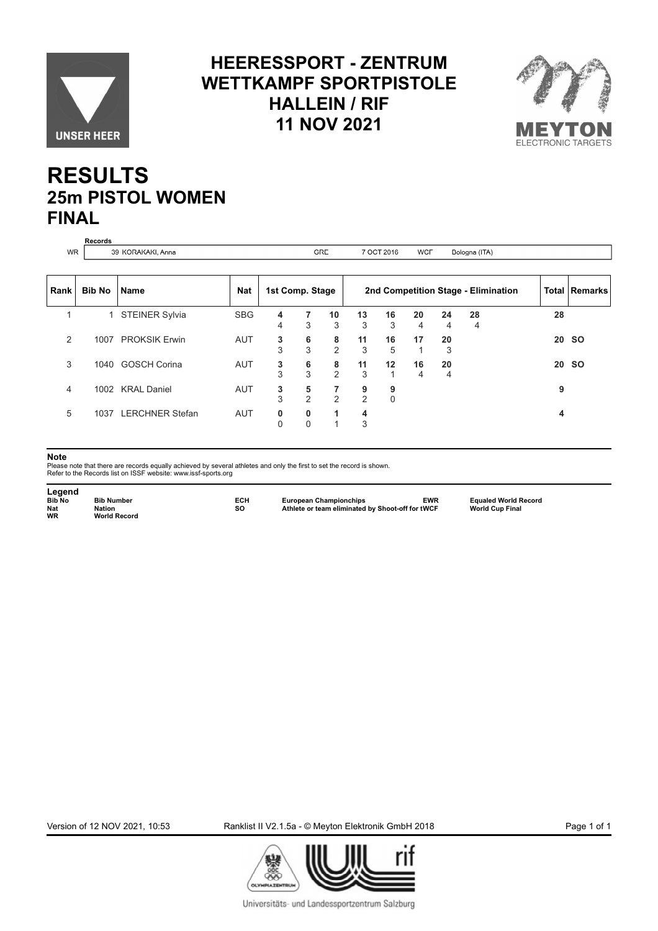

#### **HEERESSPORT - ZENTRUM WETTKAMPF SPORTPISTOLE HALLEIN / RIF 11 NOV 2021**



#### **RESULTS 25m PISTOL WOMEN FINAL**

|           | Records       |                        |            |                 |        |                     |                     |                  |            |         |                                     |    |                 |
|-----------|---------------|------------------------|------------|-----------------|--------|---------------------|---------------------|------------------|------------|---------|-------------------------------------|----|-----------------|
| <b>WR</b> |               | 39 KORAKAKI, Anna      |            |                 |        | <b>GRE</b>          |                     | 7 OCT 2016       | <b>WCF</b> |         | Bologna (ITA)                       |    |                 |
|           |               |                        |            |                 |        |                     |                     |                  |            |         |                                     |    |                 |
| Rank      | <b>Bib No</b> | l Name                 | <b>Nat</b> | 1st Comp. Stage |        |                     |                     |                  |            |         | 2nd Competition Stage - Elimination |    | Total   Remarks |
| 1         |               | 1 STEINER Sylvia       | <b>SBG</b> | 4<br>4          | 7<br>3 | 10<br>3             | 13<br>3             | 16<br>3          | 20<br>4    | 24<br>4 | 28<br>4                             | 28 |                 |
| 2         |               | 1007 PROKSIK Erwin     | <b>AUT</b> | 3<br>3          | 6<br>3 | 8<br>$\overline{2}$ | 11<br>3             | 16<br>5          | 17         | 20<br>3 |                                     |    | 20 SO           |
| 3         |               | 1040 GOSCH Corina      | <b>AUT</b> | 3<br>3          | 6<br>3 | 8<br>$\overline{2}$ | 11<br>3             | 12<br>-1         | 16<br>4    | 20<br>4 |                                     | 20 | <b>SO</b>       |
| 4         |               | 1002 KRAL Daniel       | <b>AUT</b> | 3<br>3          | 5<br>2 | 7<br>$\overline{2}$ | 9<br>$\overline{2}$ | 9<br>$\mathbf 0$ |            |         |                                     | 9  |                 |
| 5         | 1037          | <b>LERCHNER Stefan</b> | AUT        | 0               | 0<br>0 | 1<br>$\overline{1}$ | 4<br>3              |                  |            |         |                                     | 4  |                 |

#### **Note**

Please note that there are records equally achieved by several athletes and only the first to set the record is shown. Refer to the Records list on ISSF website: www.issf-sports.org

Legend<br>**Bib No**<br>Nat<br>WR **Bib No Bib Number ECH European Championchips EWR Equaled World Record Nat Nation SO Athlete or team eliminated by Shoot-off for tWCF World Cup Final Nation<br>World Record** 

Version of 12 NOV 2021, 10:53 Ranklist II V2.1.5a - © Meyton Elektronik GmbH 2018 Page 1 of 1



Universitäts- und Landessportzentrum Salzburg